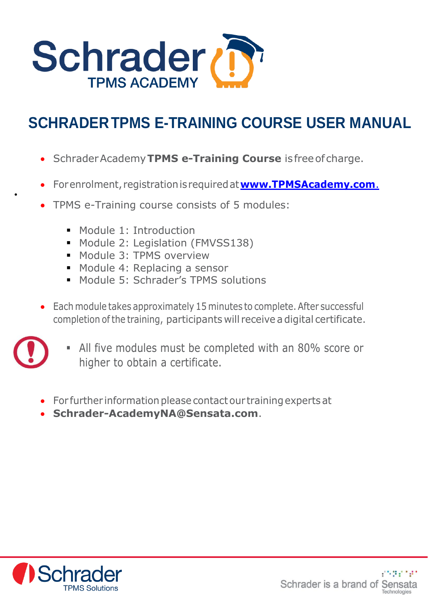

## **SCHRADERTPMS E-TRAINING COURSE USER MANUAL**

- SchraderAcademy**TPMS e-Training Course** isfreeofcharge.
- Forenrolment, registrationisrequiredat**[www.TPMSAcademy.com](http://www.tpmsacademy.com./)**.
- TPMS e-Training course consists of 5 modules:
	- Module 1: Introduction
	- Module 2: Legislation (FMVSS138)
	- Module 3: TPMS overview
	- Module 4: Replacing a sensor
	- Module 5: Schrader's TPMS solutions
- Each module takes approximately 15 minutes to complete. After successful completion ofthe training, participants will receive adigital certificate.
- 

•

- All five modules must be completed with an 80% score or higher to obtain a certificate.
- For further information please contact our training experts at
- **[Schrader-AcademyNA@Sensata.com](mailto:Schrader-AcademyNA@Sensata.com)**.

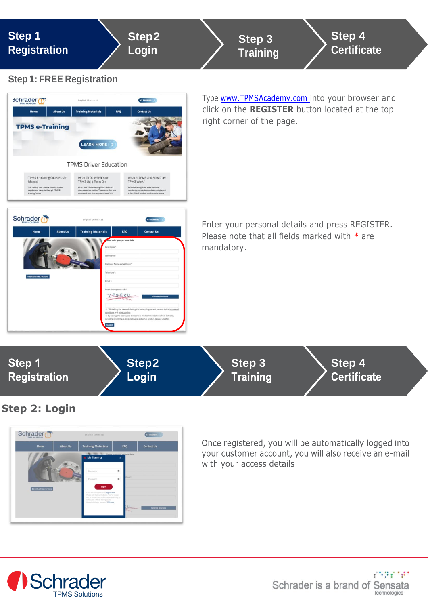| <b>Step 1</b><br>Step2<br><b>Registration</b><br>Login                                                                                                                                                                                                                                                                                                                                                                                                                                                                                                                                                                       | <b>Step 4</b><br><b>Step 3</b><br><b>Certificate</b><br><b>Training</b>                                                        |  |  |  |
|------------------------------------------------------------------------------------------------------------------------------------------------------------------------------------------------------------------------------------------------------------------------------------------------------------------------------------------------------------------------------------------------------------------------------------------------------------------------------------------------------------------------------------------------------------------------------------------------------------------------------|--------------------------------------------------------------------------------------------------------------------------------|--|--|--|
| <b>Step 1: FREE Registration</b>                                                                                                                                                                                                                                                                                                                                                                                                                                                                                                                                                                                             |                                                                                                                                |  |  |  |
| <b>Schrader</b> <sup>1</sup><br>MYTRAINING<br>English (America)<br><b>About Us</b><br><b>Training Materials</b><br>FAQ<br><b>Contact Us</b><br>Home<br><b>TPMS e-Training</b><br><b>LEARN MORE</b>                                                                                                                                                                                                                                                                                                                                                                                                                           | Type www.TPMSAcademy.com into your browser and<br>click on the REGISTER button located at the top<br>right corner of the page. |  |  |  |
| <b>TPMS Driver Education</b><br>TPMS E-training Course User<br>What To Do When Your<br>What is TPMS and How Does<br>TPMS Work?<br>Manual<br>TPMS Light Turns On<br>When your TPMS warning light comes on.<br>The training user manual explains how to<br>As its name suggests, a tire pressure<br>register and navigate through TPMS E-<br>please exercise caution. This means that one<br>monitoring system is more than a single part.<br>In fact, TPMS involves a valve and a sensor,<br>training Course.<br>or more of your tires may be at least 25%                                                                    |                                                                                                                                |  |  |  |
| Schrader <sub>(1)</sub><br>MY TRAINING<br><b>English (America)</b><br><b>About Us</b><br><b>Training Materials</b><br>FAQ<br><b>Contact Us</b><br>Home<br>ase enter your personal data<br>First Name*<br>Last Name*<br>Company Name and Address*<br>lalophone <sup>4</sup><br>Email *:<br>Insert the captcha code *<br>VOGEKU<br><sup>1</sup> By ticking the box and clicking the button, I agree and consent to the terms and<br>sanditions and privacy policy<br>(ii) By ticking this box I agree to receive e-mail communications from Schrader<br>cluding newsletters, press releases, and other product-related updates | Enter your personal details and press REGISTER.<br>Please note that all fields marked with * are<br>mandatory.                 |  |  |  |
| Step 1<br>Step2<br>Login<br><b>Registration</b>                                                                                                                                                                                                                                                                                                                                                                                                                                                                                                                                                                              | <b>Step 3</b><br>Step 4<br><b>Certificate</b><br><b>Training</b>                                                               |  |  |  |
| <b>Step 2: Login</b>                                                                                                                                                                                                                                                                                                                                                                                                                                                                                                                                                                                                         |                                                                                                                                |  |  |  |



Once registered, you will be automatically logged into<br>your customer account, you will also receive an e-mail<br>with your access details.

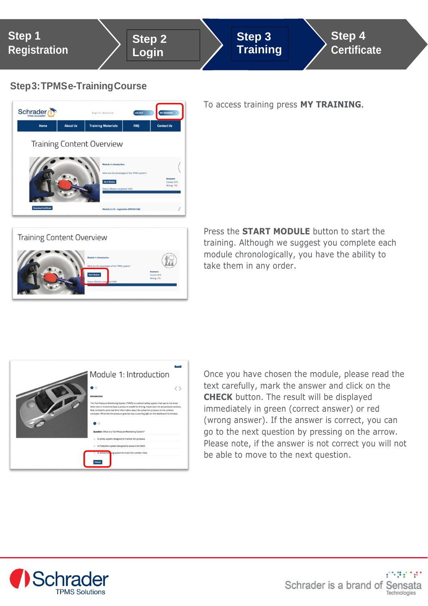



## **Step3:TPMSe-TrainingCourse**



To access training press **MY TRAINING.**



Press the **START MODULE** button to start the training. Although we suggest you complete each module chronologically, you have the ability to take them in any order.



Once you have chosen the module, please read the text carefully, mark the answer and click on the **CHECK** button. The result will be displayed immediately in green (correct answer) or red (wrong answer). If the answer is correct, you can go to the next question by pressing on the arrow. Please note, if the answer is not correct you will not be able to move to the next question.